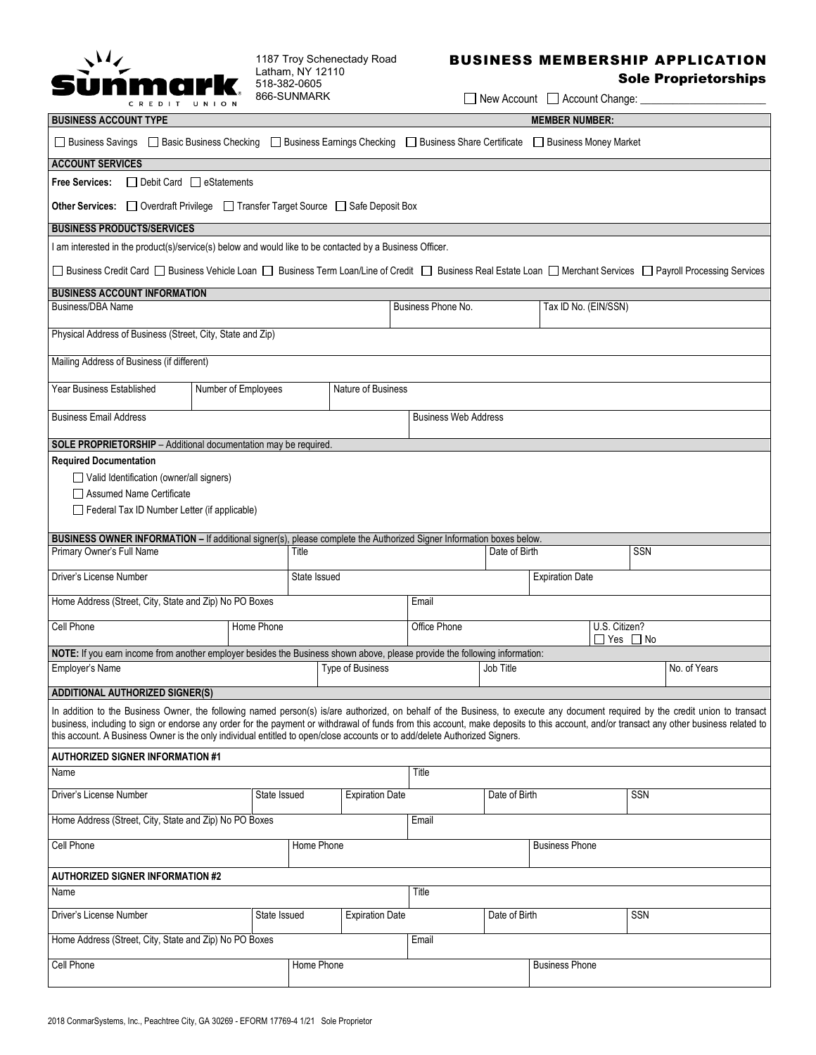

1187 Troy Schenectady Road Latham, NY 12110 518-382-0605 866-SUNMARK

## BUSINESS MEMBERSHIP APPLICATION

## Sole Proprietorships

 $\Box$  New Account  $\Box$  Account Change:

| <b>BUSINESS ACCOUNT TYPE</b>                                                                                                                                                                                                                                                                                                                                                                                                                                                                             |                     |                         |                                            |                             | <b>MEMBER NUMBER:</b>                       |                       |                        |              |  |  |
|----------------------------------------------------------------------------------------------------------------------------------------------------------------------------------------------------------------------------------------------------------------------------------------------------------------------------------------------------------------------------------------------------------------------------------------------------------------------------------------------------------|---------------------|-------------------------|--------------------------------------------|-----------------------------|---------------------------------------------|-----------------------|------------------------|--------------|--|--|
| □ Business Savings □ Basic Business Checking □ Business Earnings Checking □ Business Share Certificate                                                                                                                                                                                                                                                                                                                                                                                                   |                     |                         |                                            |                             | Business Money Market                       |                       |                        |              |  |  |
| <b>ACCOUNT SERVICES</b>                                                                                                                                                                                                                                                                                                                                                                                                                                                                                  |                     |                         |                                            |                             |                                             |                       |                        |              |  |  |
| □ Debit Card □ eStatements<br><b>Free Services:</b>                                                                                                                                                                                                                                                                                                                                                                                                                                                      |                     |                         |                                            |                             |                                             |                       |                        |              |  |  |
| <b>Other Services:</b> □ Overdraft Privilege □ Transfer Target Source □ Safe Deposit Box                                                                                                                                                                                                                                                                                                                                                                                                                 |                     |                         |                                            |                             |                                             |                       |                        |              |  |  |
| <b>BUSINESS PRODUCTS/SERVICES</b>                                                                                                                                                                                                                                                                                                                                                                                                                                                                        |                     |                         |                                            |                             |                                             |                       |                        |              |  |  |
| I am interested in the product(s)/service(s) below and would like to be contacted by a Business Officer.                                                                                                                                                                                                                                                                                                                                                                                                 |                     |                         |                                            |                             |                                             |                       |                        |              |  |  |
| □ Business Credit Card □ Business Vehicle Loan □ Business Term Loan/Line of Credit □ Business Real Estate Loan □ Merchant Services □ Payroll Processing Services                                                                                                                                                                                                                                                                                                                                         |                     |                         |                                            |                             |                                             |                       |                        |              |  |  |
| <b>BUSINESS ACCOUNT INFORMATION</b><br>Business/DBA Name                                                                                                                                                                                                                                                                                                                                                                                                                                                 |                     |                         | Business Phone No.<br>Tax ID No. (EIN/SSN) |                             |                                             |                       |                        |              |  |  |
|                                                                                                                                                                                                                                                                                                                                                                                                                                                                                                          |                     |                         |                                            |                             |                                             |                       |                        |              |  |  |
| Physical Address of Business (Street, City, State and Zip)                                                                                                                                                                                                                                                                                                                                                                                                                                               |                     |                         |                                            |                             |                                             |                       |                        |              |  |  |
| Mailing Address of Business (if different)                                                                                                                                                                                                                                                                                                                                                                                                                                                               |                     |                         |                                            |                             |                                             |                       |                        |              |  |  |
| Year Business Established                                                                                                                                                                                                                                                                                                                                                                                                                                                                                | Number of Employees |                         | Nature of Business                         |                             |                                             |                       |                        |              |  |  |
| <b>Business Email Address</b>                                                                                                                                                                                                                                                                                                                                                                                                                                                                            |                     |                         |                                            | <b>Business Web Address</b> |                                             |                       |                        |              |  |  |
| SOLE PROPRIETORSHIP - Additional documentation may be required.                                                                                                                                                                                                                                                                                                                                                                                                                                          |                     |                         |                                            |                             |                                             |                       |                        |              |  |  |
| <b>Required Documentation</b><br>Valid Identification (owner/all signers)<br>□ Assumed Name Certificate<br>Federal Tax ID Number Letter (if applicable)                                                                                                                                                                                                                                                                                                                                                  |                     |                         |                                            |                             |                                             |                       |                        |              |  |  |
| BUSINESS OWNER INFORMATION - If additional signer(s), please complete the Authorized Signer Information boxes below.                                                                                                                                                                                                                                                                                                                                                                                     |                     |                         |                                            |                             |                                             | Date of Birth         |                        | <b>SSN</b>   |  |  |
| Primary Owner's Full Name                                                                                                                                                                                                                                                                                                                                                                                                                                                                                |                     | Title                   |                                            |                             |                                             |                       |                        |              |  |  |
| Driver's License Number                                                                                                                                                                                                                                                                                                                                                                                                                                                                                  |                     | State Issued            |                                            |                             |                                             |                       | <b>Expiration Date</b> |              |  |  |
| Home Address (Street, City, State and Zip) No PO Boxes                                                                                                                                                                                                                                                                                                                                                                                                                                                   |                     |                         |                                            |                             | Email                                       |                       |                        |              |  |  |
| Cell Phone                                                                                                                                                                                                                                                                                                                                                                                                                                                                                               | Home Phone          |                         |                                            |                             | U.S. Citizen?<br>Office Phone<br>□ Yes □ No |                       |                        |              |  |  |
| NOTE: If you earn income from another employer besides the Business shown above, please provide the following information:                                                                                                                                                                                                                                                                                                                                                                               |                     |                         |                                            |                             |                                             |                       |                        |              |  |  |
| Employer's Name                                                                                                                                                                                                                                                                                                                                                                                                                                                                                          |                     | <b>Type of Business</b> |                                            |                             | Job Title                                   |                       |                        | No. of Years |  |  |
| <b>ADDITIONAL AUTHORIZED SIGNER(S)</b>                                                                                                                                                                                                                                                                                                                                                                                                                                                                   |                     |                         |                                            |                             |                                             |                       |                        |              |  |  |
| In addition to the Business Owner, the following named person(s) is/are authorized, on behalf of the Business, to execute any document required by the credit union to transact<br>business, including to sign or endorse any order for the payment or withdrawal of funds from this account, make deposits to this account, and/or transact any other business related to<br>this account. A Business Owner is the only individual entitled to open/close accounts or to add/delete Authorized Signers. |                     |                         |                                            |                             |                                             |                       |                        |              |  |  |
| <b>AUTHORIZED SIGNER INFORMATION #1</b>                                                                                                                                                                                                                                                                                                                                                                                                                                                                  |                     |                         |                                            |                             |                                             |                       |                        |              |  |  |
| Name                                                                                                                                                                                                                                                                                                                                                                                                                                                                                                     |                     |                         |                                            |                             | Title                                       |                       |                        |              |  |  |
| Driver's License Number                                                                                                                                                                                                                                                                                                                                                                                                                                                                                  | State Issued        |                         | <b>Expiration Date</b>                     |                             |                                             | Date of Birth         |                        | SSN          |  |  |
| Home Address (Street, City, State and Zip) No PO Boxes                                                                                                                                                                                                                                                                                                                                                                                                                                                   |                     |                         |                                            |                             | Email                                       |                       |                        |              |  |  |
| Cell Phone<br>Home Phone                                                                                                                                                                                                                                                                                                                                                                                                                                                                                 |                     |                         |                                            |                             |                                             |                       | <b>Business Phone</b>  |              |  |  |
| <b>AUTHORIZED SIGNER INFORMATION #2</b>                                                                                                                                                                                                                                                                                                                                                                                                                                                                  |                     |                         |                                            |                             |                                             |                       |                        |              |  |  |
| Name                                                                                                                                                                                                                                                                                                                                                                                                                                                                                                     |                     |                         |                                            |                             | Title                                       |                       |                        |              |  |  |
| Driver's License Number<br>State Issued                                                                                                                                                                                                                                                                                                                                                                                                                                                                  |                     |                         | <b>Expiration Date</b>                     |                             |                                             | Date of Birth         |                        | SSN          |  |  |
| Home Address (Street, City, State and Zip) No PO Boxes                                                                                                                                                                                                                                                                                                                                                                                                                                                   |                     |                         |                                            |                             | Email                                       |                       |                        |              |  |  |
| Cell Phone                                                                                                                                                                                                                                                                                                                                                                                                                                                                                               |                     | Home Phone              |                                            |                             |                                             | <b>Business Phone</b> |                        |              |  |  |